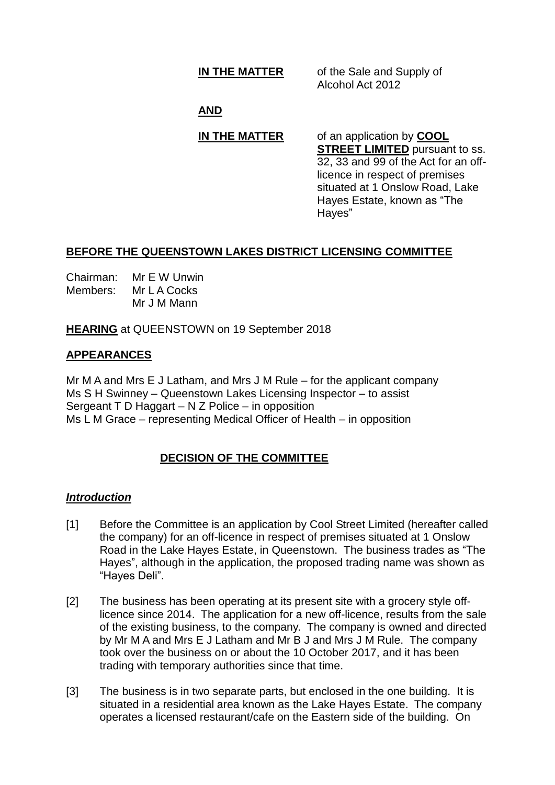**IN THE MATTER** of the Sale and Supply of Alcohol Act 2012

## **AND**

# **IN THE MATTER** of an application by **COOL**

**STREET LIMITED** pursuant to ss. 32, 33 and 99 of the Act for an offlicence in respect of premises situated at 1 Onslow Road, Lake Hayes Estate, known as "The Hayes"

## **BEFORE THE QUEENSTOWN LAKES DISTRICT LICENSING COMMITTEE**

| Chairman: | Mr E W Unwin |
|-----------|--------------|
| Members:  | Mr L A Cocks |
|           | Mr J M Mann  |

**HEARING** at QUEENSTOWN on 19 September 2018

## **APPEARANCES**

Mr M A and Mrs E J Latham, and Mrs J M Rule – for the applicant company Ms S H Swinney – Queenstown Lakes Licensing Inspector – to assist Sergeant T D Haggart – N Z Police – in opposition Ms L M Grace – representing Medical Officer of Health – in opposition

## **DECISION OF THE COMMITTEE**

## *Introduction*

- [1] Before the Committee is an application by Cool Street Limited (hereafter called the company) for an off-licence in respect of premises situated at 1 Onslow Road in the Lake Hayes Estate, in Queenstown. The business trades as "The Hayes", although in the application, the proposed trading name was shown as "Hayes Deli".
- [2] The business has been operating at its present site with a grocery style offlicence since 2014. The application for a new off-licence, results from the sale of the existing business, to the company. The company is owned and directed by Mr M A and Mrs E J Latham and Mr B J and Mrs J M Rule. The company took over the business on or about the 10 October 2017, and it has been trading with temporary authorities since that time.
- [3] The business is in two separate parts, but enclosed in the one building. It is situated in a residential area known as the Lake Hayes Estate. The company operates a licensed restaurant/cafe on the Eastern side of the building. On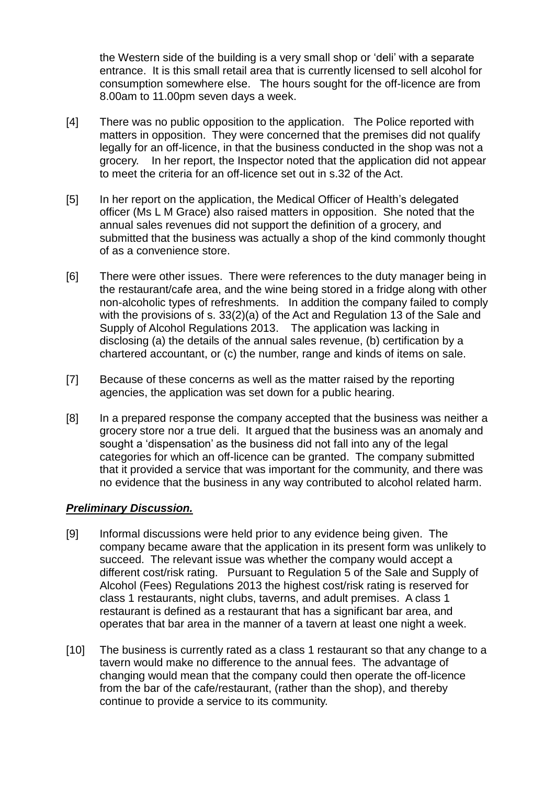the Western side of the building is a very small shop or 'deli' with a separate entrance. It is this small retail area that is currently licensed to sell alcohol for consumption somewhere else. The hours sought for the off-licence are from 8.00am to 11.00pm seven days a week.

- [4] There was no public opposition to the application. The Police reported with matters in opposition. They were concerned that the premises did not qualify legally for an off-licence, in that the business conducted in the shop was not a grocery. In her report, the Inspector noted that the application did not appear to meet the criteria for an off-licence set out in s.32 of the Act.
- [5] In her report on the application, the Medical Officer of Health's delegated officer (Ms L M Grace) also raised matters in opposition. She noted that the annual sales revenues did not support the definition of a grocery, and submitted that the business was actually a shop of the kind commonly thought of as a convenience store.
- [6] There were other issues. There were references to the duty manager being in the restaurant/cafe area, and the wine being stored in a fridge along with other non-alcoholic types of refreshments. In addition the company failed to comply with the provisions of s. 33(2)(a) of the Act and Regulation 13 of the Sale and Supply of Alcohol Regulations 2013. The application was lacking in disclosing (a) the details of the annual sales revenue, (b) certification by a chartered accountant, or (c) the number, range and kinds of items on sale.
- [7] Because of these concerns as well as the matter raised by the reporting agencies, the application was set down for a public hearing.
- [8] In a prepared response the company accepted that the business was neither a grocery store nor a true deli. It argued that the business was an anomaly and sought a 'dispensation' as the business did not fall into any of the legal categories for which an off-licence can be granted. The company submitted that it provided a service that was important for the community, and there was no evidence that the business in any way contributed to alcohol related harm.

### *Preliminary Discussion.*

- [9] Informal discussions were held prior to any evidence being given. The company became aware that the application in its present form was unlikely to succeed. The relevant issue was whether the company would accept a different cost/risk rating. Pursuant to Regulation 5 of the Sale and Supply of Alcohol (Fees) Regulations 2013 the highest cost/risk rating is reserved for class 1 restaurants, night clubs, taverns, and adult premises. A class 1 restaurant is defined as a restaurant that has a significant bar area, and operates that bar area in the manner of a tavern at least one night a week.
- [10] The business is currently rated as a class 1 restaurant so that any change to a tavern would make no difference to the annual fees. The advantage of changing would mean that the company could then operate the off-licence from the bar of the cafe/restaurant, (rather than the shop), and thereby continue to provide a service to its community.